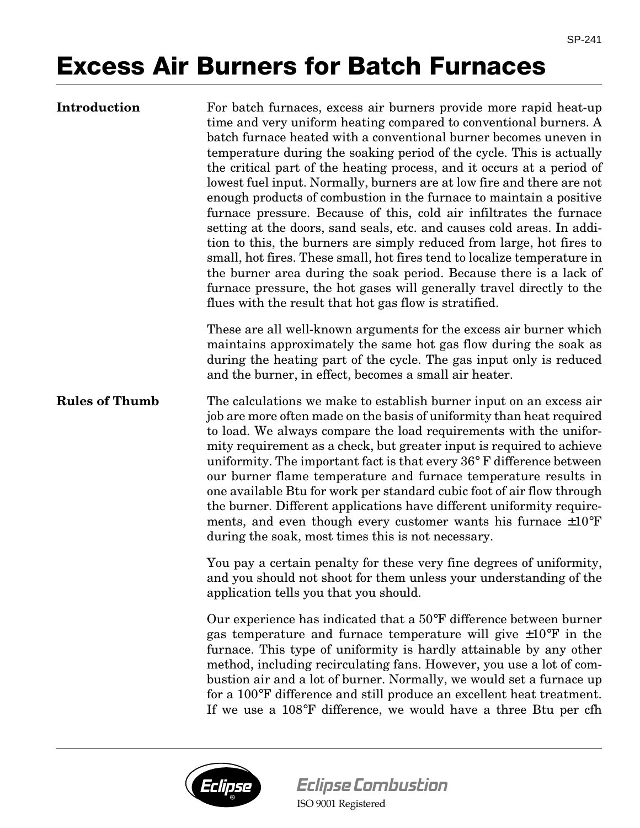## **Excess Air Burners for Batch Furnaces**

| <b>Introduction</b> |
|---------------------|
|---------------------|

For batch furnaces, excess air burners provide more rapid heat-up time and very uniform heating compared to conventional burners. A batch furnace heated with a conventional burner becomes uneven in temperature during the soaking period of the cycle. This is actually the critical part of the heating process, and it occurs at a period of lowest fuel input. Normally, burners are at low fire and there are not enough products of combustion in the furnace to maintain a positive furnace pressure. Because of this, cold air infiltrates the furnace setting at the doors, sand seals, etc. and causes cold areas. In addition to this, the burners are simply reduced from large, hot fires to small, hot fires. These small, hot fires tend to localize temperature in the burner area during the soak period. Because there is a lack of furnace pressure, the hot gases will generally travel directly to the flues with the result that hot gas flow is stratified.

These are all well-known arguments for the excess air burner which maintains approximately the same hot gas flow during the soak as during the heating part of the cycle. The gas input only is reduced and the burner, in effect, becomes a small air heater.

**Rules of Thumb** The calculations we make to establish burner input on an excess air job are more often made on the basis of uniformity than heat required to load. We always compare the load requirements with the uniformity requirement as a check, but greater input is required to achieve uniformity. The important fact is that every 36° F difference between our burner flame temperature and furnace temperature results in one available Btu for work per standard cubic foot of air flow through the burner. Different applications have different uniformity requirements, and even though every customer wants his furnace  $\pm 10^{\circ}$ F during the soak, most times this is not necessary.

> You pay a certain penalty for these very fine degrees of uniformity, and you should not shoot for them unless your understanding of the application tells you that you should.

> Our experience has indicated that a 50°F difference between burner gas temperature and furnace temperature will give  $\pm 10^{\circ}$ F in the furnace. This type of uniformity is hardly attainable by any other method, including recirculating fans. However, you use a lot of combustion air and a lot of burner. Normally, we would set a furnace up for a 100°F difference and still produce an excellent heat treatment. If we use a 108°F difference, we would have a three Btu per cfh



**Eclipse Combustion**

ISO 9001 Registered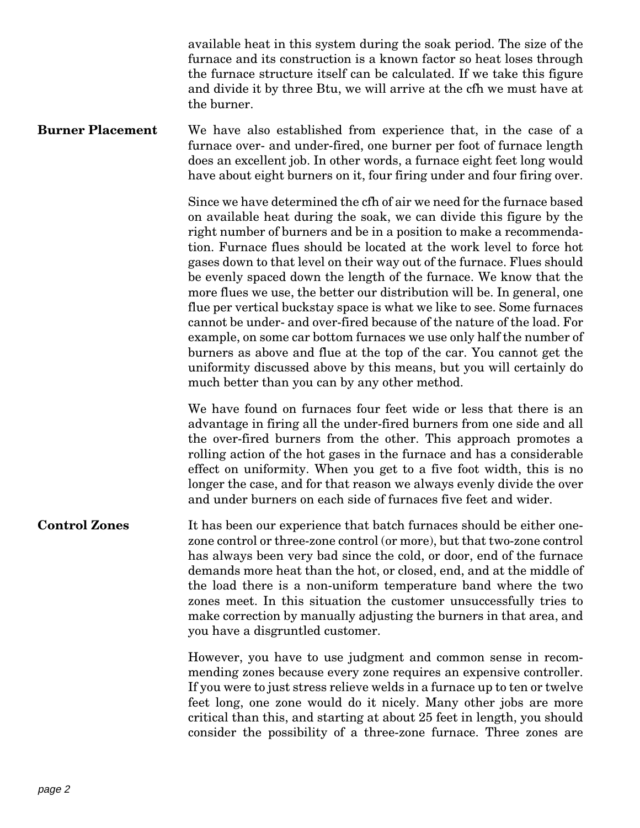available heat in this system during the soak period. The size of the furnace and its construction is a known factor so heat loses through the furnace structure itself can be calculated. If we take this figure and divide it by three Btu, we will arrive at the cfh we must have at the burner.

**Burner Placement** We have also established from experience that, in the case of a furnace over- and under-fired, one burner per foot of furnace length does an excellent job. In other words, a furnace eight feet long would have about eight burners on it, four firing under and four firing over.

> Since we have determined the cfh of air we need for the furnace based on available heat during the soak, we can divide this figure by the right number of burners and be in a position to make a recommendation. Furnace flues should be located at the work level to force hot gases down to that level on their way out of the furnace. Flues should be evenly spaced down the length of the furnace. We know that the more flues we use, the better our distribution will be. In general, one flue per vertical buckstay space is what we like to see. Some furnaces cannot be under- and over-fired because of the nature of the load. For example, on some car bottom furnaces we use only half the number of burners as above and flue at the top of the car. You cannot get the uniformity discussed above by this means, but you will certainly do much better than you can by any other method.

> We have found on furnaces four feet wide or less that there is an advantage in firing all the under-fired burners from one side and all the over-fired burners from the other. This approach promotes a rolling action of the hot gases in the furnace and has a considerable effect on uniformity. When you get to a five foot width, this is no longer the case, and for that reason we always evenly divide the over and under burners on each side of furnaces five feet and wider.

## **Control Zones** It has been our experience that batch furnaces should be either onezone control or three-zone control (or more), but that two-zone control has always been very bad since the cold, or door, end of the furnace demands more heat than the hot, or closed, end, and at the middle of the load there is a non-uniform temperature band where the two zones meet. In this situation the customer unsuccessfully tries to make correction by manually adjusting the burners in that area, and you have a disgruntled customer.

However, you have to use judgment and common sense in recommending zones because every zone requires an expensive controller. If you were to just stress relieve welds in a furnace up to ten or twelve feet long, one zone would do it nicely. Many other jobs are more critical than this, and starting at about 25 feet in length, you should consider the possibility of a three-zone furnace. Three zones are